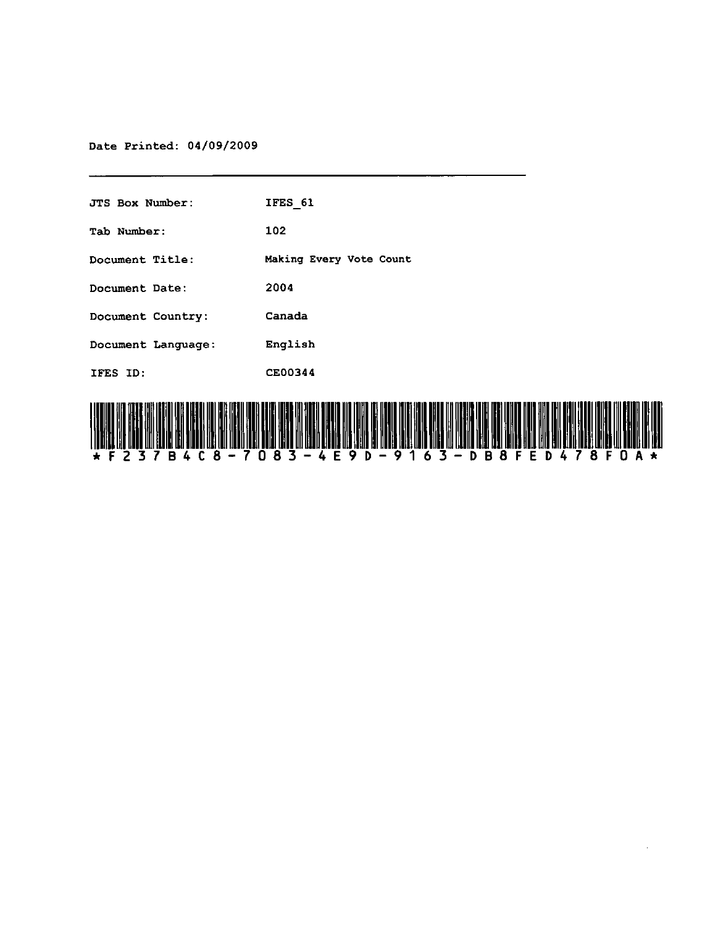Date Printed: 04/09/2009

| <b>JTS Box Number:</b> | IFES 61                 |
|------------------------|-------------------------|
| Tab Number:            | 102                     |
| Document Title:        | Making Every Vote Count |
| Document Date:         | 2004                    |
| Document Country:      | Canada                  |
| Document Language:     | English                 |
| IFES ID:               | CE00344                 |
|                        |                         |

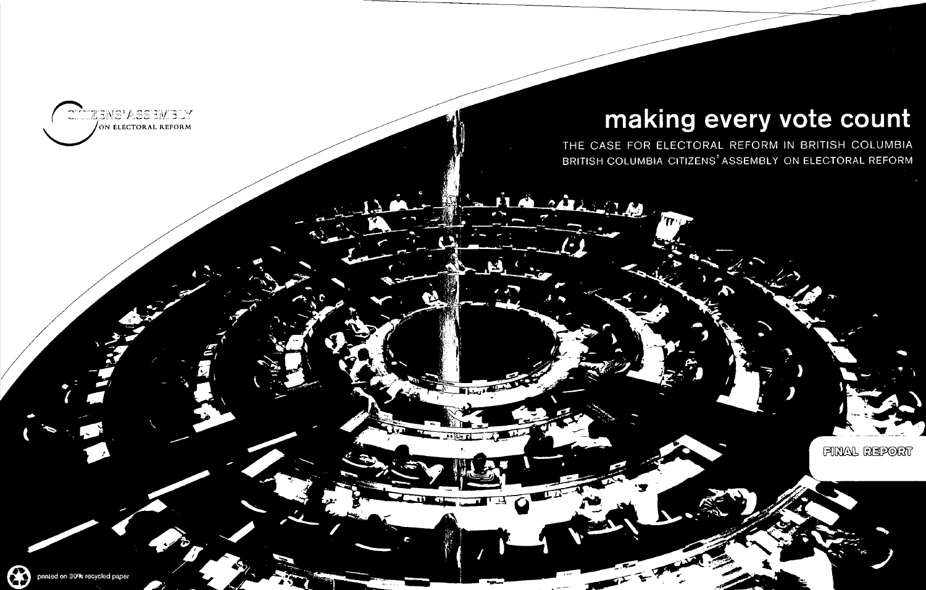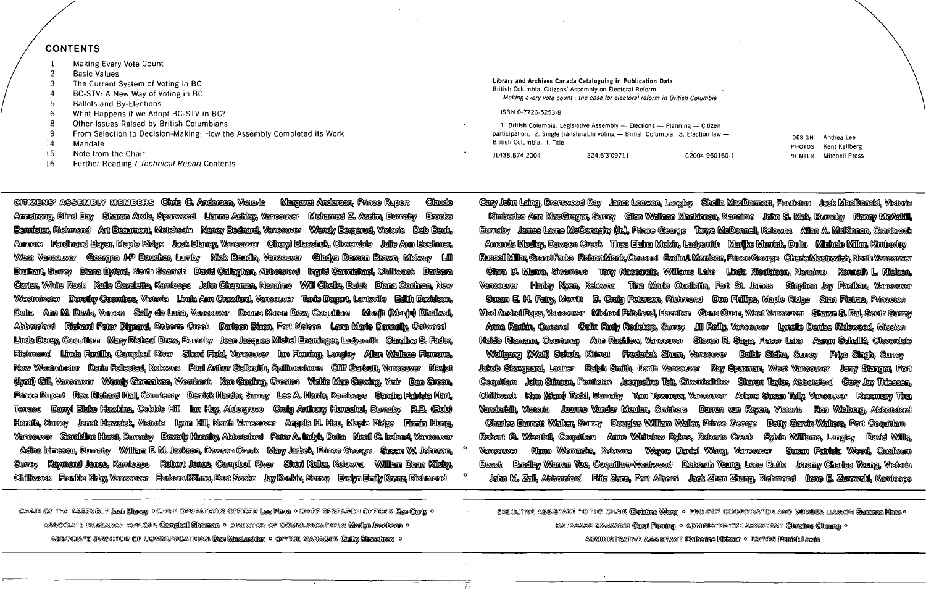### CONTENTS

- 1 Making Every Vote Count
- $\mathfrak{p}$ **Basic Values**
- 3 The Current System of Voting in BC
- 4 BC-STV: A New Way of Voting in BC
- 5 Baliots and By-Elections
- 6 What Happens if we Adopt BC-STV in BC?
- 8 Other Issues Raised by British Columbians
- 9 From Selection to Decision-Making: How the Assembly Completed its Work
- 14 Mandate
- 15 Note from the Chair
- 16 Further Reading / Technical Report Contents

@ititZENS" ASSEMBLY MEMBERS **Chris C. Andersen, Victoria Margaret Anderson,** Prince Rupert Claude<br>Annstrong, Blind Bay Sharon Arola, Sparwood Lianne Ashlay, Vancouver Mohanned Z. Assim, Burnaby Brooke Amstrong, Elind Bay - Sharon Arola, Sparwood - Lianne Ashley, Vancouver - Mohamed Z. Assim, Eumaby - Erooke<br>- Eannister, Richmond - Art Eeanmont, Metchosin - Nancy Eechard, Vancouver - Wendy Eergerud, Victoria - Deb Eeuk, **Eannister, Richmond Ant Economy, Metchosin Nancy Bednard, Vancouver** ~ ~ ~ ~ ~ .!.ID!Ill ~ ~ ©Ix!ligll ~ ~ .1bIftilb:miJ ~ Anmore Ferdinand Bayer, Maple Ridge Jack Blaney, Vancouver Cheryl Blaschuk, Cloverdale Julie Ann Boshmer,<br>West Vancouver Georges J-P Boucher, Lumby Nick Boudin, Vancouver Cladys Doreen Brown, Midway Lill ~ West Vencouver - Georges J-P Boucher, Luniby - Nick Boucin, Vencouver - Gledys Doreen Brown, Mickey - Lill -<br>- Bruihert, Surrey - Diene Bytord, North Seentch - Devid Celleghen, Abbotsford - Ingrid Cermicheel, Chilitweck<br> Bruikert, Surrey Diene Bylord, North Seemich Devid Cellegken, Abbotsford Ingrid Cernidekeel, Chiliveck Berbere<br>Certer, White Rock Keife Cevelsito, Kemicops John Chepmen, Neneimo Will Chelle, Buick Diene Cochren, New York<br>W Westminster Dorothy Coombes, Victoria Linda Ann Crawford, Vancouver Tanis Dagent, Lantzville Edith Davidson,<br>Delta Ann M. Davis, Vamon Sally de Luna, Vancouver Donna Karen Devx, Coquitlam Manjit (Manju) Dhaliwal,<br>Abbotsior **Richard Peter Dienard, Roberts Greek Darleen Dixon, Fort Nelson Lana Marie Donnelly, Colwood** Abbotsford - Richard Peter Dignard, Roberts Creek - Darleen Dixon, Fort Nelson - Lana Marie Donnally, Colwood<br>Linda Dorey, Coquitlam - Mary Richeal Drex, Burnaby - Jean Jacques Michel Ensminger, Ladysmith - Caroline S. Fad ~ ~~~~ ~~~ Ilrnil~~ ~~~ ~ Richmond - Linda Fanillo, Campbell River - Shoni Field, Vancouver - Ian Fleming, Langley - Allan Wallace Flemons,<br>New Westminster - Dann Follestad, Kelowna - Paul Anihur Galbraith, Spillmacheen - Cilif Garbutt, Vancouver ~@IIl1~ ~~~ ~~~ ~~~)'fu;;fu @ml~ (lyoii) Cill, Vencouver - Wendy Conselves, Westbank - Ken Gosling, Creston - Vickie Mae Gowing, Ym'r - Dan Green,<br>Prince Rupert - Rev. Richard Hall, Courtenay - Derrick Harder, Surrey - Lee A. Harris, Kamloops - Sandra Pat Prince Rupert Rev. Richard Hall, Courtenay Demick Harder, Surrey Lee A. Hamis, Kamloops Sandra Patricia Hart,<br>Terrace Danyi Blake Hawkins, Cobble Hill lan Hay, Aldergrove Craig Anthony Henschel, Burnaby R.B - Danyi Blake Haxikins, Cobble Hill - Ian Hay, Aldengrove - Chaig Anthony Henschal, Eumaby - R.B. (Bob) ~ Vancouver - Geraldine Hurst, Burneley - Beverly Hussiey, Abbotsford - Peter A. Inciyk, Delta - Neall C. Ireland, Vancouver ancouver Geraldine Hurst, Burnaby Beverly Huseby, Abbotsiord Peter A. Indy't, Delta Neall C. Ireland, Vancouver<br>Adina Irimescu, Burnaby William F. M. Jackson, Dawson Creek Nary Jarbet, Prince George Susan W. Johnson, \* V adha Innesou, Bumaby Milliam F. M. Jackson, Dawson Creek Mary Jarbek, Prince George Susan W. Johnson,<br>Sumey Raymond Jones, Kamicops Robert Jones, Campbell River Sheri Keller, Kelowna Milliam Dean Kilsby, Suncy Reymond Jones, Kendoops Robert Jones, Cempbell River Sheri Keller, Kelovne William Deen Kilsby, <br>Chiliweck Frenkie Kirby, Vencouver Earbare Köhne, Eest Sooke Jay Konkin, Suncy Evelyn Enily Krenz, Richm

1. British Columbia. Legislative Assembly  $-$  Elections  $-$  Planning  $-$  Citizen participation. 2. Single transferable voting  $-$  British Columbia. 3. Election law  $-$ British Columbia. I. Title.

o

i,

### **Library and Archives Canada Cataloguing in Publication Data**  British Columbia. Citizens' Assembly on Electoral Reform.

Making every vote count: the case for electoral reform in British Columbia

#### ISBN 0-7726-5253-8

JL438.B742004 324.6'3'09711 C2004-960160-1

Gany John Laing, Brentwood Bay Langt Logwen, Langley Sheila MacDennott, Penticton Lack MacDonald, Victoria Kimberies Ann MacGregor, Surrey - Gien Wallace Mackinnon, Nanaimo - John S. Mak, Burnaby - Nancy McAskill, ~ ~~~M~~ ~~~ c:illIDlfA,~~ tumely Jennes Lome McConeghy (Jr.), Prince George Tenye McDonnell, Kelowne Allen A. McKinnon, Crenbrook<br>Amencia McGley, Dawson Creek Thea Elaina McIvin, Ladysmith Marijke Menick, Detta Michele Miller, Kimberley Anenda Mediay, Dawson Creak - Thea Elaina Media, Ladyanth - Mailled Mantel, Datta - Michele Miller, Kinderky<br>RussellMiller, Grand Forls - Rebert Monk, Ouesnet - Evelind. Mortson, Prince George - ChericMethonich, Moth Vanco - Glara D. Munro, Steamous - Tony Nacearato, Williams Lake - Linda Nicolaisan, Nanaimo - Kannath L. Nisisan,<br>ancouver - Harley Nyan, Keloxna - Tina Marie Oualistic, Fort St. James - Stephen Jay Pastkau, Vancouver ~Susan E. H. Pany, Memit D. Qadq Peterson, Richmond Don Phillips, Maple Ridge - Stan Pietras, Princeton ~ Susan E. H. Pairy, Mewitt D. Craig Peterson, Richmond Don Fhillips, Maple Ridge Sian Pietras, Princeton<br>Viad Andrei Popa, Vancouver Michael Pritchard, Hazelton Cene Quan, West Vancouver Shaxm S. Rai, Sou kid Andrel Pope, Vancouver Michael Phitohard, Hazelton ©ene Quan, West Vancouver Shawn S. Rai, South Surrey<br>Anna Rankin, Quesnel - Colin Rudy Redekop, Surrey - Jill Reilly, Vancouver - Lynelle Denise Ridewood, Mission<br>. . Anna Rankin, Quesnel - Colin Rudy Redskop, Sumey - Jill Railly, Vancouver - Lynelle Denise Ridewood, Mission<br>Heide Riemann, Countanay - Ann Rushicu, Vancouver - Siteven R. Sage, Fraser Lake - Aaron Schallië, Cloverdal<br>Wolf ~Sieven R. Sage, Fraser Lake - Aaron Schallië, Cloverdale<br>Vancouver - Dalbir Sidhu, Surrey - Priya Singh, Surrey<br>/er - Ray Spaxman, West Vancouver - Jerry Sianger, Port  $~$  Jakob Skovgeend, Ledner – Ralph Smith, North Vancouver – Ray Spaxman, West Vancouver . Coquitlem John Siinson, Penticton Jacqueline Tait, Citwinksihlkw Sharon Taylor, Abbotsford Cory Jay Thiessen,<br>Chiliwack Ron (Sam) Todd. Burnaby Tom Townrow. Vancouver Arlene Susan Tully, Vancouver Rosemar ~ ~ ~ 'iK!xOO, ~ b ~ ~ ~ ~ \_ ~ ~o@!liil!l'lY 'iifimI ~~ ~~~~ ~1'1ilftl~~ ~~~ yanderbill, Victoria Jeanne Vander Meulen, Smithers Darren van Reyen, Victoria Ren Walberg, Abbotsford<br>Gharles Eurnen Walker, Surrey Douglas William Waller, Prince George Eentry Carvin-Walters, Port Coquitlam<br>Rob - Gharles Eurnan Walkar, Surrey - Douglas William Waller, Prince George - Beny Gardr+Walters, Port Coquitlam<br>Robert G. Wesnall, Coquitlam - Anne Whitelaw Dykes, Roberts Creek - Sylvia Williams, Langley - David Wills,<br>Vanco where comment weiler, while we we would well a series we want we have the comment well as the sequition of the<br>Rebert G. Westfall, Coquition Anne Whitelaw Dykes, Reberts Creek Sylvia Williams, Langley David Wills,<br>Rencouve  $\Box$ Beedh  $\Box$ Beedley Wanten Yee, Coopuilam-Westwood Delonah Young, Lone Butte Leranny Charles Young, Victoria John M. Zell, Abbotsford Fritz Zens, Port Albemi Jeck Zhen Zheng, Richmond Nene E. Zurowski, Kemfoops

CHAR OF THE ASSEMBLY **Leek Bleney •** OPLEAT ONS OFFICER Leo Pente • CHIEF RESFARCH OFFICER <mark>Ken Centy •</mark><br>ASSOCIA''I RESEARCH OPPICER **Cempleel Shennen •** O RECTOR OF COMMUNICATIONS <mark>Menth</mark>n Leedbeen •

1!~Cc)J;JVW" ~"\~r?!'\>')I;v ~@"U~J' (~0lJ(~ ©lIiII3lIi® ~ <sup>0</sup>!'f~o):fftm (<.)(CXO):>IJ5)~?@~ 6.\Ilff'i) ~~ ~~"'l:P)lI) ~~o M"~ ~ @!ruj)~ 0 6.\@Mll~~1r"'\9~I 6.\&~~~~&J~~:nr ~~ <sup>0</sup>

ACYMNISTRATIVE ASSISTANT Calicatre Hiltoor · FOUTOR Pantok Lexts

~~ 1iward Werly Medisson o 1iward 2012 and o dike Campion o Direction Of Communications Medlyr legisson o<br>^ 10 ASSOCIATE DIrection Of Communications Der Medisdier o Office: Manager Celly Sleeshrev

DESIGN | Anthea Lee PHOTOS | Kent Kallberg PRINTER | Mitchell Press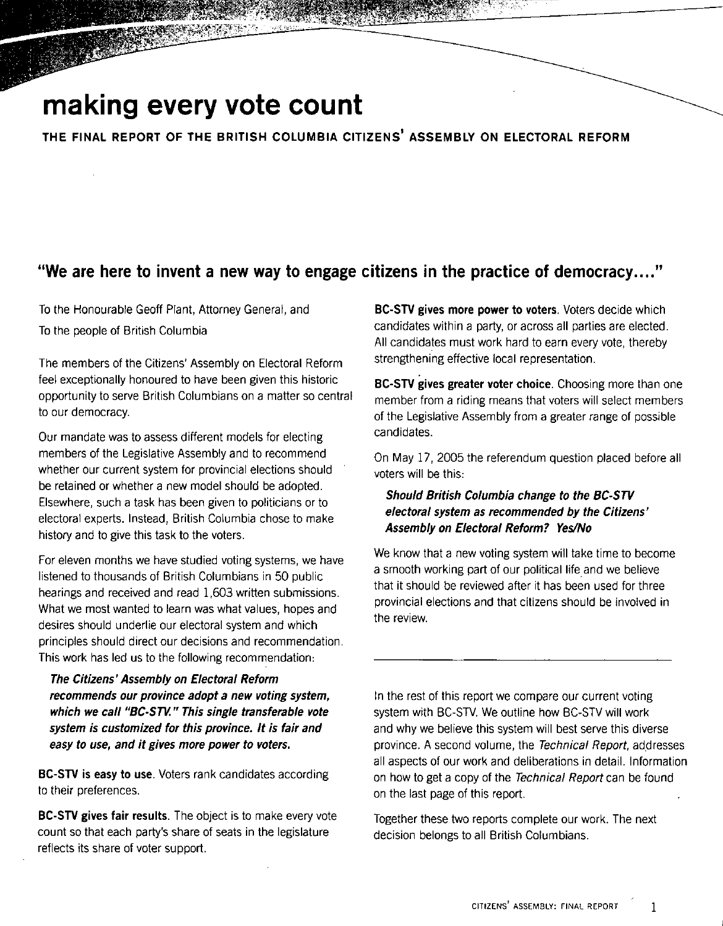## **making every vote count**

THE FINAL REPORT OF THE BRITISH COLUMBIA CITIZENS' ASSEMBLY ON ELECTORAL REFORM

## "We are here to invent a new way to engage citizens in the practice of democracy .... "

To the Honourable Geoff Plant, Attorney General, and To the people of British Columbia

The members of the Citizens' Assembly on Electoral Reform feel exceptionally honoured to have been given this historic opportunity to serve British Columbians on a matter so central to our democracy.

Our mandate was to assess different models for electing members of the Legislative Assembly and to recommend whether our current system for provincial elections should be retained or whether a new model should be adopted. Elsewhere, such a task has been given to politicians or to electoral experts. Instead, British Columbia chose to make history and to give this task to the voters.

For eleven months we have studied voting systems, we have listened to thousands of British Columbians in 50 public hearings and received and read 1,603 written submissions. What we most wanted to learn was what values, hopes and desires should underlie our electoral system and which principles should direct our decisions and recommendation. This work has led us to the following recommendation:

The Citizens' Assembly on Electoral Reform recommends our province adopt a new voting system, which we call "BC-STV." This single transferable vote system is customized for this province. It is fair and easy to use, and it gives more power to voters.

BC-STY is easy to use. Voters rank candidates according to their preferences.

BC-STV gives fair results. The object is to make every vote count so that each partY's share of seats in the legislature reflects its share of voter support.

BC-STV gives more power to voters. Voters decide which candidates within a party, or across all parties are elected. All candidates must work hard to earn every vote, thereby strengthening effective local representation.

BC-STV gives greater voter choice. Choosing more than one member from a riding means that voters will select members of the Legislative Assembly from a greater range of possible candidates.

On May 17, 2005 the referendum question placed before all voters will be this:

### Should British Columbia change to the BC-STV electoral system as recommended by the Citizens' Assembly on Electoral Reform? Yes/No

We know that a new voting system will take time to become a smooth working part of our political life and we believe that it should be reviewed after it has been used for three provincial elections and that citizens should be involved in the review.

In the rest of this report we compare our current voting system with BC-STV. We outline how BC-STV will work and why we believe this system will best serve this diverse province. A second volume, the Technical Report, addresses all aspects of our work and deliberations in detail. Information on how to get a copy of the Technical Report can be found on the last page of this report.

Together these two reports complete our work. The next decision belongs to all British Columbians.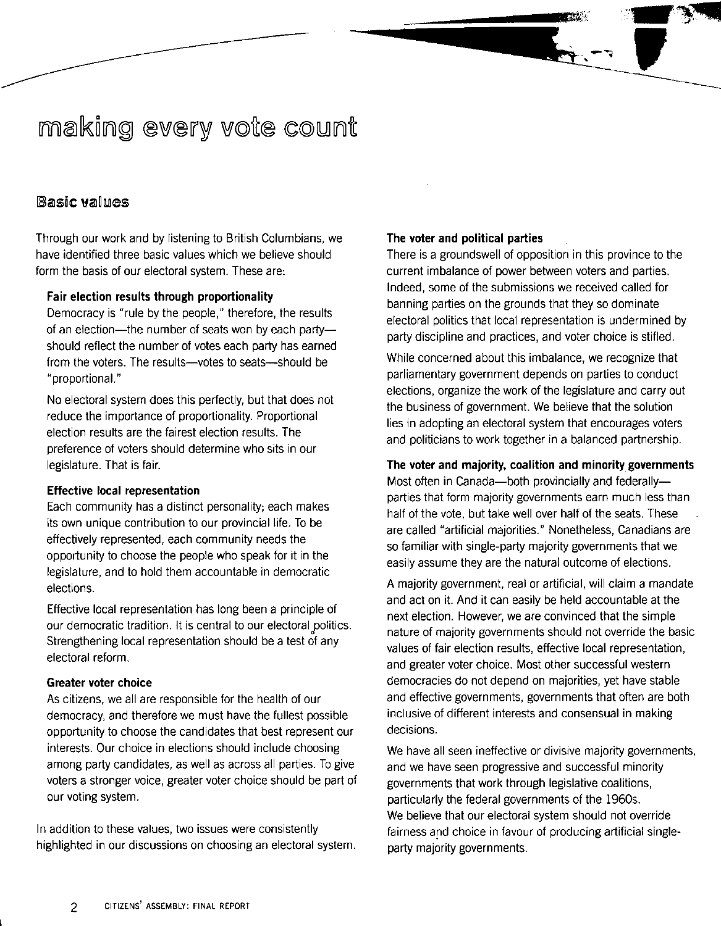## making every vote count

## **Basic values**

Through our work and by listening to British Columbians, we have identified three basic values which we believe should form the basis of our electoral system. These are:

#### Fair election results through proportionality

Democracy is "rule by the people," therefore, the results of an election-the number of seats won by each partyshould reflect the number of votes each party has earned from the voters. The results-votes to seats-should be "proportional. "

No electoral system does this perfectly, but that does not reduce the importance of proportionality. Proportional election results are the fairest election results. The preference of voters should determine who sits in our legislature. That is fair.

#### Effective local representation

Each community has a distinct personality; each makes its own unique contribution to our provincial life. To be effectively represented, each community needs the opportunity to choose the people who speak for it in the legislature, and to hold them accountable in democratic elections.

Effective local representation has long been a principle of our democratic tradition. It is central to our electoral politics. Strengthening local representation should be a test of any electoral reform.

#### Greater voter choice

As citizens, we all are responsible for the health of our democracy, and therefore we must have the fullest possible opportunity to choose the candidates that best represent our interests. Our choice in elections should include choosing among party candidates, as well as across all parties. To give voters a stronger voice, greater voter choice should be part of our voting system.

In addition to these values, two issues were consistently highlighted in our discussions on choosing an electoral system.

### The voter and political parties

There is a groundswell of opposition in this province to the current imbalance of power between voters and parties. Indeed, some of the submissions we received called for banning parties on the grounds that they so dominate electoral politics that local representation is undermined by party discipline and practices, and voter choice is stifled.

"'<del>\*</del>  $\blacksquare$ 

While concerned about this imbalance, we recognize that parliamentary government depends on parties to conduct elections, organize the work of the legislature and carry out the business of government. We believe that the solution lies in adopting an electoral system that encourages voters and politicians to work together in a balanced partnership.

#### The voter and majority. coalition and minority governments

Most often in Canada-both provincially and federallyparties that form majority governments earn much less than half of the vote, but take well over half of the seats. These are called "artificial majorities." Nonetheless, Canadians are so familiar with single-party majority governments that we easily assume they are the natural outcome of elections.

A majority government, real or artificial, will claim a mandate and act on it. And it can easily be held accountable at the next election. However, we are convinced that the simple nature of majority governments should not override the basic values of fair election results, effective local representation, and greater voter choice. Most other successful western democracies do not depend on majorities, yet have stable and effective governments, governments that often are both inclusive of different interests and consensual in making decisions.

We have all seen ineffective or divisive majority governments, and we have seen progressive and successful minority governments that work through legislative coalitions, particularly the federal governments of the 1960s. We believe that our electoral system should not override fairness and choice in favour of producing artificial singleparty majority governments.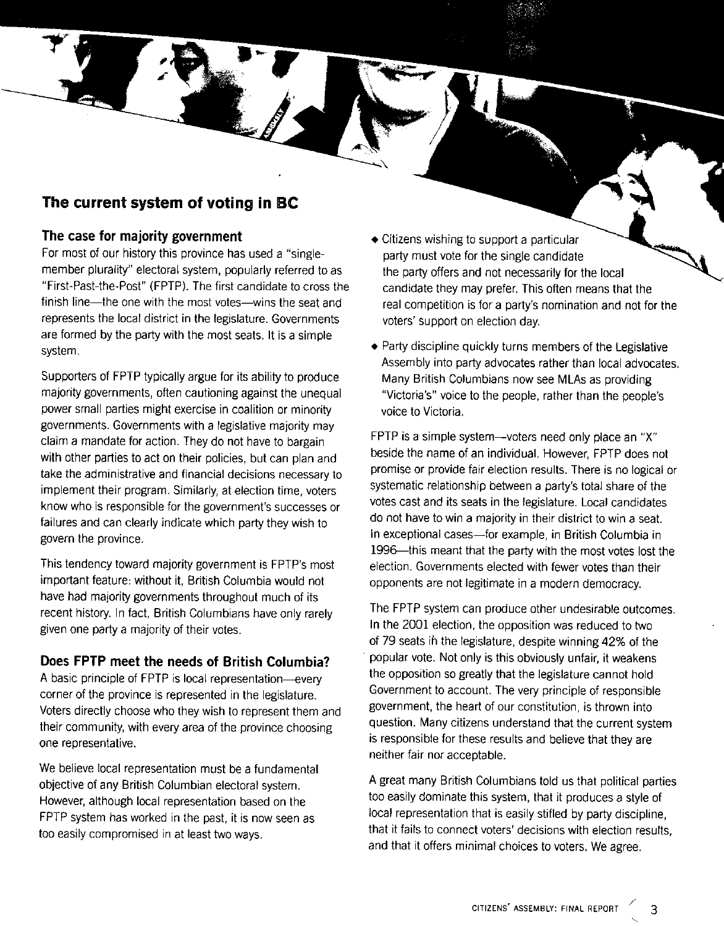## **The current system of voting in BC**

### **The case for majority government**

For most of our history this province has used a "singlemember plurality" electoral system, popularly referred to as "First-Past-the-Post" (FPTP). The first candidate to cross the finish line-the one with the most votes-wins the seat and represents the local district in the legislature. Governments are formed by the party with the most seats. It is a simple system.

Supporters of FPTP typically argue for its ability to produce majority governments, often cautioning against the unequal power small parties might exercise in coalition or minority governments. Governments with a legislative majority may claim a mandate for action. They do not have to bargain with other parties to act on their policies, but can plan and take the administrative and financial decisions necessary to implement their program. Similarly, at election time, voters know who is responsible for the government's successes or failures and can clearly indicate which party they wish to govern the province.

This tendency toward majority government is FPTP's most important feature: without it, British Columbia would not have had majority governments throughout much of its recent history. In fact, British Columbians have only rarely given one party a majority of their votes.

## **Does FPTP meet the needs of British Columbia?**

A basic principle of FPTP is local representation-every corner of the province is represented in the legislature. Voters directly choose who they wish to represent them and their community, with every area of the province choosing one representative.

We believe local representation must be a fundamental objective of any British Columbian electoral system. However, although local representation based on the FPTP system has worked in the past, it is now seen as too easily compromised in at least two ways.

- Citizens wishing to support a particular party must vote for the single candidate the party offers and not necessarily for the local candidate they may prefer. This often means that the real competition is for a party's nomination and not for the voters' support on election day.
- Party discipline quickly turns members of the Legislative Assembly into party advocates rather than local advocates. Many British Columbians now see MLAs as providing "Victoria's" voice to the people, rather than the people's voice to Victoria.

FPTP is a simple system-voters need only place an "X" beside the name of an individual. However, FPTP does not promise or provide fair election results. There is no logical or systematic relationship between a party's total share of the votes cast and its seats in the legislature. Local candidates do not have to win a majority in their district to win a seat. In exceptional cases-for example, in British Columbia in 1996--this meant that the party with the most votes lost the election. Governments elected with fewer votes than their opponents are not legitimate in a modern democracy.

The FPTP system can produce other undesirable outcomes. In the 2001 election, the opposition was reduced to two of 79 seats ih the legislature, despite winning 42% of the . popular vote. Not only is this obviously unfair, it weakens the opposition so greatly that the legislature cannot hold Government to account. The very principle of responsible government, the heart of our constitution, is thrown into question. Many citizens understand that the current system is responsible for these results and believe that they are neither fair nor acceptable.

A great many British Columbians told us that political parties too easily dominate this system, that it produces a style of local representation that is easily stifled by party discipline, that it fails to connect voters' decisions with election results, and that it offers minimal choices to voters. We agree.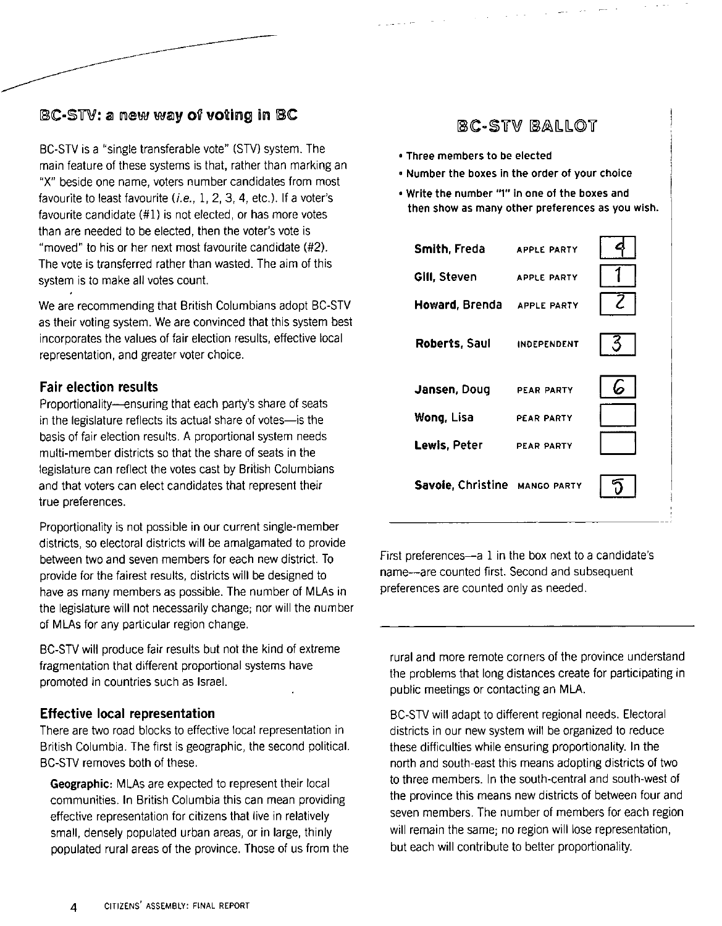## BC-STV: a new way of voting in BC

BC-STV is a "single transferable vote" (STV) system. The main feature of these systems is that, rather than marking an "X" beside one name, voters number candidates from most favourite to least favourite *(i.e.,* 1,2,3,4, etc.). If a voter's favourite candidate (#1) is not elected, or has more votes than are needed to be elected, then the voter's vote is "moved" to his or her next most favourite candidate (#2). The vote is transferred rather than wasted. The aim of this system is to make all votes count.

We are recommending that British Columbians adopt BC-STV as their voting system. We are convinced that this system best incorporates the values of fair election results, effective local representation, and greater voter choice.

### Fair election results

Proportionality-ensuring that each party's share of seats in the legislature reflects its actual share of votes-is the basis of fair election results. A proportional system needs multi-member districts so that the share of seats in the legislature can reflect the votes cast by British Columbians and that voters can elect candidates that represent their true preferences.

Proportionality is not possible in our current single-member districts, so electoral districts will be amalgamated to provide between two and seven members for each new district. To provide for the fairest results, districts will be designed to have as many members as possible. The number of MLAs in the legislature will not necessarily change; nor will the number of MLAs for any particular region change.

BC-STV will produce fair results but not the kind of extreme fragmentation that different proportional systems have promoted in countries such as Israel.

### Effective local representation

There are two road blocks to effective local representation in British Columbia. The first is geographic, the second political. BC-STV removes both of these.

Geographic: MLAs are expected to represent their local communities. In British Columbia this can mean providing effective representation for citizens that live in relatively small, densely populated urban areas, or in large, thinly populated rural areas of the province. Those of us from the

## BC-STV BALLOT

- Three members to be elected
- Number the boxes in the order of your choice
- Write the number "'" in one of the boxes and then show as many other preferences as you wish.

| Smith, Freda                  | APPLE PARTY        |  |
|-------------------------------|--------------------|--|
| Gill, Steven                  | <b>APPLE PARTY</b> |  |
| Howard, Brenda APPLE PARTY    |                    |  |
| Roberts, Saul                 | <b>INDEPENDENT</b> |  |
| Jansen, Doug                  | PEAR PARTY         |  |
| Wong, Lisa                    | PEAR PARTY         |  |
| Lewis, Peter                  | <b>PEAR PARTY</b>  |  |
| Savoie, Christine MANGO PARTY |                    |  |
|                               |                    |  |

First preferences-a 1 in the box next to a candidate's name--are counted first. Second and subsequent preferences are counted only as needed.

rural and more remote corners of the province understand the problems that long distances create for participating in public meetings or contacting an MLA.

BC-STV will adapt to different regional needs. Electoral districts in our new system will be organized to reduce these difficulties while ensuring proportionality. In the north and south-east this means adopting districts of two to three members. In the south-central and south-west of the province this means new districts of between four and seven members. The number of members for each region will remain the same; no region will lose representation, but each will contribute to better proportionality.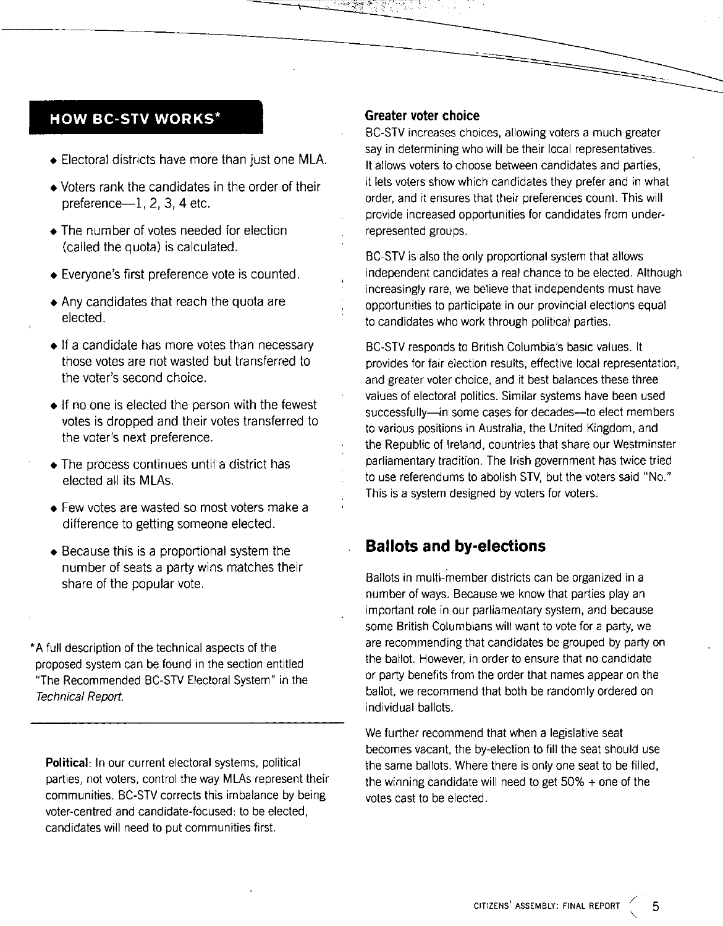## **HOW BC-STV WORKS·**

- Electoral districts have more than just one MLA.
- Voters rank the candidates in the order of their  $preference-1$ , 2, 3, 4 etc.
- The number of votes needed for election (called the quota) is calculated.
- Everyone's first preference vote is counted.
- Any candidates that reach the quota are elected.
- **If** a candidate has more votes than necessary those votes are not wasted but transferred to the voter's second choice.
- If no one is elected the person with the fewest votes is dropped and their votes transferred to the voter's next preference.
- The process continues until a district has elected all its MLAs.
- Few votes are wasted so most voters make a difference to getting someone elected.
- Because this is a proportional system the number of seats a party wins matches their share of the popular vote.

• A full description of the technical aspects of the proposed system can be found in the section entitled "The Recommended BC-STV Electoral System" in the Technical Report.

**Political:** In our current electoral systems, political parties, not voters, control the way MLAs represent their communities. BC-STV corrects this imbalance by being voter-centred and candidate-focused: to be elected, candidates will need to put communities first.

### **Greater voter choice**

BC-STV increases choices, allowing voters a much greater say in determining who will be their local representatives. It allows voters to choose between candidates and parties, it lets voters show which candidates they prefer and in what order, and it ensures that their preferences count. This will provide increased opportunities for candidates from underrepresented groups.

BC-STV is also the only proportional system that allows independent candidates a real chance to be elected. Although increasingly rare, we believe that independents must have opportunities to participate in our provincial elections equal to candidates who work through political parties.

BC-STV responds to British Columbia's basic values. It provides for fair election results, effective local representation, and greater voter choice, and it best balances these three values of electoral politics. Similar systems have been used successfully-in some cases for decades-to elect members to various positions in Australia, the United Kingdom, and the Republic of Ireland, countries that share our Westminster parliamentary tradition. The Irish government has twice tried to use referendums to abolish STV, but the voters said "No." This is a system designed by voters for voters.

## **Ballots and by-elections**

Ballots in multi-member districts can be organized in a number of ways. Because we know that parties play an important role in our parliamentary system, and because some British Columbians will want to vote for a party, we are recommending that candidates be grouped by party on the ballot. However, in order to ensure that no candidate or party benefits from the order that names appear on the ballot, we recommend that both be randomly ordered on individual ballots.

We further recommend that when a legislative seat becomes vacant, the by-election to fill the seat should use the same ballots. Where there is only one seat to be filled, the winning candidate will need to get  $50\% +$  one of the votes cast to be elected.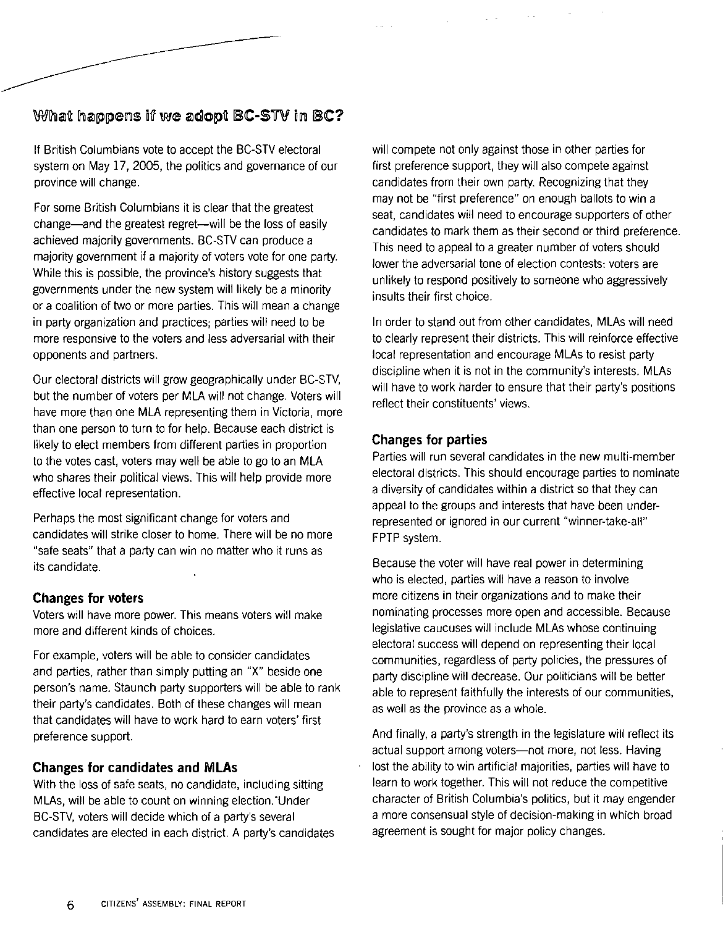## What happens if we adopt BC-STV in BC?

If British Columbians vote to accept the BC-STV electoral system on May 17, 2005, the politics and governance of our province will change.

For some British Columbians it is clear that the greatest change-and the greatest regret-will be the loss of easily achieved majority governments. BC-STV can produce a majority government if a majority of voters vote for one party. While this is possible, the province's history suggests that governments under the new system will likely be a minority or a coalition of two or more parties. This will mean a change in party organization and practices; parties will need to be more responsive to the voters and less adversarial with their opponents and partners.

Our electoral districts will grow geographically under BC-STV, but the number of voters per MLA will not change. Voters will have more than one MLA representing them in Victoria, more than one person to turn to for help. Because each district is likely to elect members from different parties in proportion to the votes cast, voters may well be able to go to an MLA who shares their political views. This will help provide more effective local representation.

Perhaps the most significant change for voters and candidates will strike closer to home. There will be no more "safe seats" that a party can win no matter who it runs as its candidate.

### **Changes for voters**

Voters will have more power. This means voters will make more and different kinds of choices.

For example, voters will be able to consider candidates and parties, rather than simply putting an "X" beside one person's name. Staunch party supporters will be able to rank their party's candidates. Both of these changes will mean that candidates will have to work hard to earn voters' first preference support.

## **Changes for candidates and MLAs**

With the loss of safe seats, no candidate, including sitting MLAs, will be able to count on winning election. Under BC-STV, voters will decide which of a party's several candidates are elected in each district. A party's candidates

will compete not only against those in other parties for first preference support, they will also compete against candidates from their own party. Recognizing that they may not be "first preference" on enough ballots to win a seat, candidates will need to encourage supporters of other candidates to mark them as their second or third preference. This need to appeal to a greater number of voters should lower the adversarial tone of election contests: voters are unlikely to respond positively to someone who aggressively insults their first choice.

In order to stand out from other candidates, MLAs will need to clearly represent their districts. This will reinforce effective local representation and encourage MLAs to resist party discipline when it is not in the community's interests. MLAs will have to work harder to ensure that their party's positions reflect their constituents' views.

### **Changes for parties**

Parties will run several candidates in the new multi-member electoral districts. This should encourage parties to nominate a diversity of candidates within a district so that they can appeal to the groups and interests that have been underrepresented or ignored in our current "winner-take-all" FPTP system.

Because the voter will have real power in determining who is elected, parties will have a reason to involve more citizens in their organizations and to make their nominating processes more open and accessible. Because legislative caucuses will include MLAs whose continuing electoral success will depend on representing their local communities, regardless of party policies, the pressures of party discipline will decrease. Our politicians will be better able to represent faithfully the interests of our communities, as well as the province as a whole.

And finally, a party's strength in the legislature will reflect its actual support among voters-not more, not less. Having lost the ability to win artificial majorities, parties will have to learn to work together. This will not reduce the competitive character of British Columbia's politics, but it may engender a more consensual style of decision-making in which broad agreement is sought for major policy changes.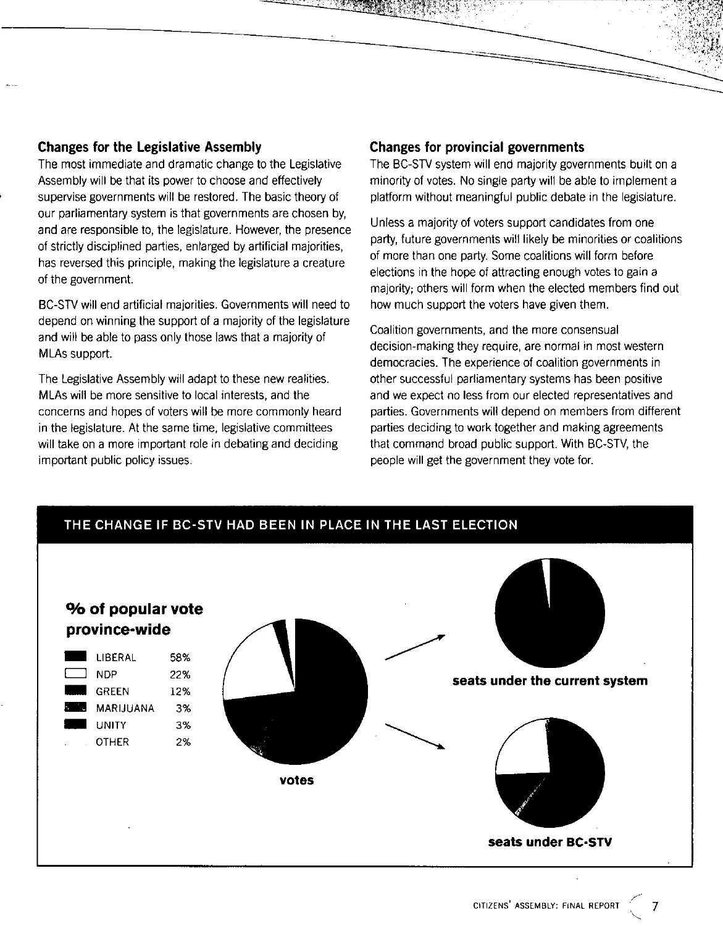#### **Changes for the Legislative Assembly**

The most immediate and dramatic change to the Legislative Assembly will be that its power to choose and effectively supervise governments will be restored. The basic theory of our parliamentary system is that governments are chosen by, and are responsible to, the legislature. However, the presence of strictly disciplined parties, enlarged by artificial majorities, has reversed this principle, making the legislature a creature of the government.

BC-STV will end artificial majorities. Governments will need to depend on winning the support of a majority of the legislature and will be able to pass only those laws that a majority of MLAs support.

The Legislative Assembly will adapt to these new realities. MLAs will be more sensitive to local interests, and the concerns and hopes of voters will be more commonly heard in the legislature. At the same time, legislative committees will take on a more important role in debating and deciding important public policy issues.

#### **Changes for provincial governments**

';,:,'

The BC-STV system will end majority governments built on a minority of votes. No single party will be able to implement a platform without meaningful public debate in the legislature.

-====

Unless a majority of voters support candidates from one party, future governments will likely be minorities or coalitions of more than one party. Some coalitions will form before elections in the hope of attracting enough votes to gain a majority; others will form when the elected members find out how much support the voters have given them.

Coalition governments, and the more consensual decision-making they require, are normal in most western democracies. The experience of coalition governments in ather successful parliamentary systems has been positive and we expect no less from our elected representatives and parties. Governments will depend on members from different parties deciding to work together and making agreements that command broad public support. With BC-STV, the people will get the government they vote for.



\<br>\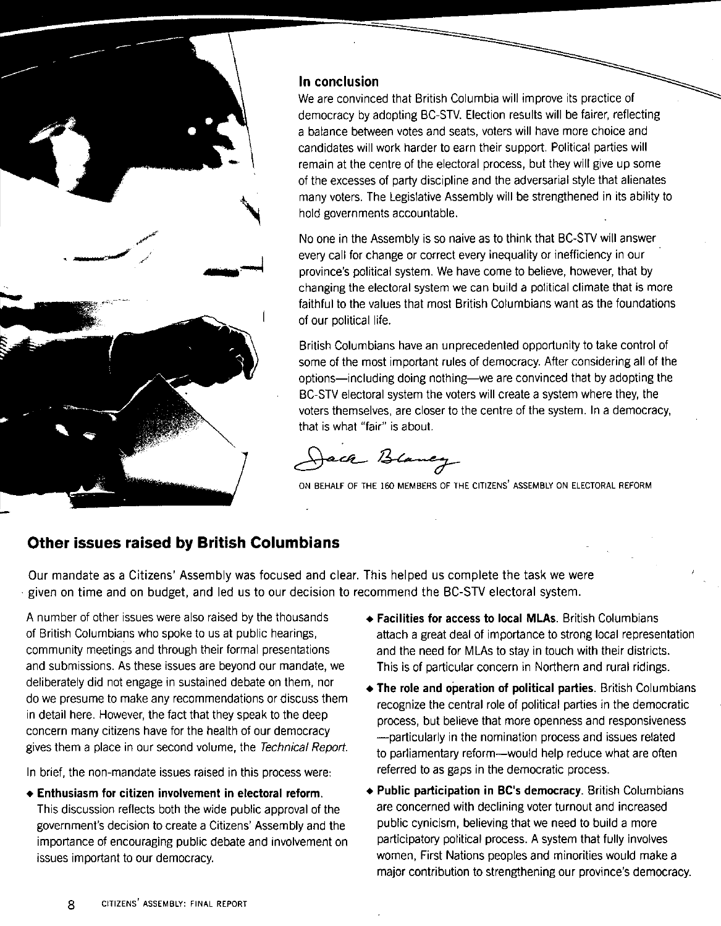

## **In conclusion**

We are convinced that British Columbia will improve its practice of democracy by adopting BC-STV. Election results will be fairer, reflecting a balance between votes and seats, voters will have more choice and candidates will work harder to earn their support. Political parties will remain at the centre of the electoral process, but they will give up some of the excesses of party discipline and the adversarial style that alienates many voters. The Legislative Assembly will be strengthened in its ability to hold governments accountable.

No one in the Assembly is so naive as to think that BC-STV will answer every call for change or correct every inequality or inefficiency in our province's political system. We have come to believe, however, that by changing the electoral system we can build a political climate that is more faithful to the values that most British Columbians want as the foundations of our political life.

British Columbians have an unprecedented opportunity to take control of some of the most important rules of democracy. After considering all of the options-including doing nothing-we are convinced that by adopting the BC-STV electoral system the voters will create a system where they, the voters themselves, are closer to the centre of the system. In a democracy, that is what "fair" is about.

ach Blancy

ON BEHALF OF THE 160 MEMBERS OF THE CITIZENS' ASSEMBLY ON ELECTORAL REFORM

## **Other issues raised by British Columbians**

Our mandate as a Citizens' Assembly was focused and clear. This helped us complete the task we were . given on time and on budget, and led us to our decision to recommend the BC-STV electoral system.

A number of other issues were also raised by the thousands of British Columbians who spoke to us at public hearings, community meetings and through their formal presentations and submissions. As these issues are beyond our mandate, we deliberately did not engage in sustained debate on them, nor do we presume to make any recommendations or discuss them in detail here. However, the fact that they speak to the deep concern many citizens have for the health of our democracy gives them a place in our second volume, the Technical Report.

In brief, the non-mandate issues raised in this process were:

**• Enthusiasm for citizen involvement in electoral reform.**  This discussion reflects both the wide public approval of the government's decision to create a Citizens' Assembly and the importance of encouraging public debate and involvement on issues important to our democracy.

- **Facilities for access to local MLAs.** British Columbians attach a great deal of importance to strong local representation and the need for MLAs to stay in touch with their districts. This is of particular concern in Northern and rural ridings.
- **The role and operation of political parties.** British Columbians recognize the central role of political parties in the democratic process, but believe that more openness and responsiveness -particularly in the nomination process and issues related to parliamentary reform-would help reduce what are often referred to as gaps in the democratic process.
- **Public participation in Be's democracy.** British Columbians are concerned with declining voter turnout and increased public cynicism, believing that we need to build a more participatory political process. A system that fully involves women, First Nations peoples and minorities would make a major contribution to strengthening our province's democracy.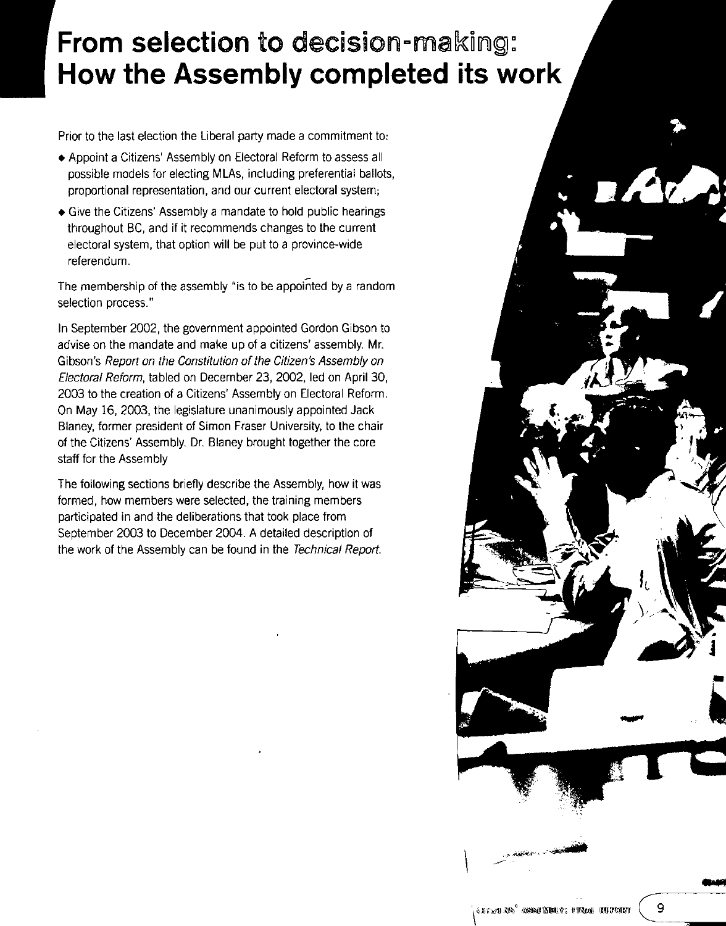## **From selection to decision-making: How the Assembly completed its work**

Prior to the last election the Liberal party made a commitment to:

- Appoint a Citizens' Assembly on Electoral Reform to assess all possible models for electing MLAs, including preferential ballots, proportional representation, and our current electoral system;
- Give the Citizens' Assembly a mandate to hold public hearings throughout BC, and if it recommends changes to the current electoral system, that option will be put to a province-wide referendum.

The membership of the assembly "is to be appointed by a random selection process."

In September 2002, the government appointed Gordon Gibson to advise on the mandate and make up of a citizens' assembly. Mr. Gibson's Report on the Constitution of the Citizen's Assembly on Electoral Reform, tabled on December 23, 2002, led on April 30, 2003 to the creation of a Citizens' Assembly on Electoral Reform. On May 16, 2003, the legislature unanimously appointed Jack Blaney, former president of Simon Fraser University, to the chair of the Citizens' Assembly. Dr. Blaney brought together the core staff for the Assembly

The following sections briefly describe the Assembly, how it was formed, how members were selected, the training members participated in and the deliberations that took place from September 2003 to December 2004. A detailed description of the work of the Assembly can be found in the Technical Report.

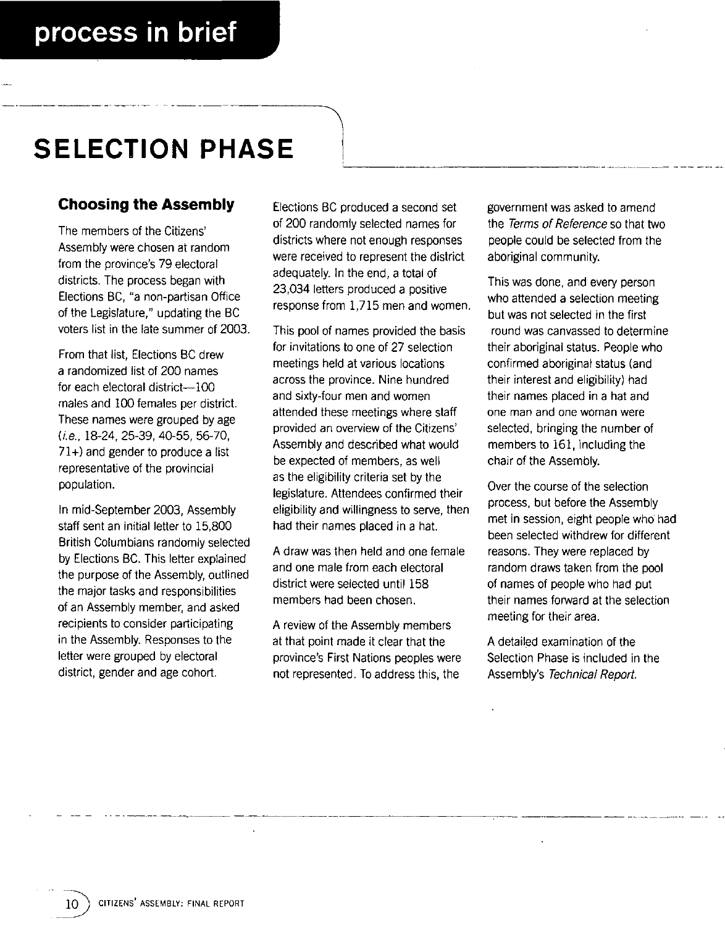## **SELECTION PHASE**

## **Choosing the Assembly**

The members of the Citizens' Assembly were chosen at random from the province's 79 electoral districts. The process began with Elections BC, "a non-partisan Office of the Legislature," updating the BC voters list in the late summer of 2003.

From that list, Elections BC drew a randomized list of 200 names for each electoral district-100 males and 100 females per district. These names were grouped by age (i.e., 18-24,25-39,40-55,56-70, 71+) and gender to produce a list representative of the provincial population.

In mid-September 2003, Assembly staff sent an initial letter to 15,800 British Columbians randomly selected by Elections BC. This letter explained the purpose of the Assembly, outlined the major tasks and responsibilities of an Assembly member, and asked recipients to consider participating in the Assembly. Responses to the letter were grouped by electoral district, gender and age cohort.

Elections BC produced a second set of 200 randomly selected names for districts where not enough responses were received to represent the district adequately. In the end, a total of 23,034 letters produced a positive response from 1,715 men and women.

This pool of names provided the basis for invitations to one of 27 selection meetings held at various locations across the province. Nine hundred and sixty-four men and women attended these meetings where staff provided an overview of the Citizens' Assembly and described what would be expected of members, as well as the eligibility criteria set by the legislature. Attendees confirmed their eligibility and willingness to serve, then had their names placed in a hat.

A draw was then held and one female and one male from each electoral district were selected until 158 members had been chosen.

A review of the Assembly members at that point made it clear that the province's First Nations peoples were not represented. To address this, the

government was asked to amend the Terms of Reference so that two people could be selected from the aboriginal community.

This was done, and every person who attended a selection meeting but was not selected in the first round was canvassed to determine their aboriginal status. People who confirmed aboriginal status (and their interest and eligibility) had their names placed in a hat and one man and one woman were selected, bringing the number of members to 161, including the chair of the Assembly.

Over the course of the selection process, but before the Assembly met in session, eight people who had been selected withdrew for different reasons. They were replaced by random draws taken from the pool of names of people who had put their names forward at the selection meeting for their area.

A detailed examination of the Selection Phase is included in the Assembly's Technical Report.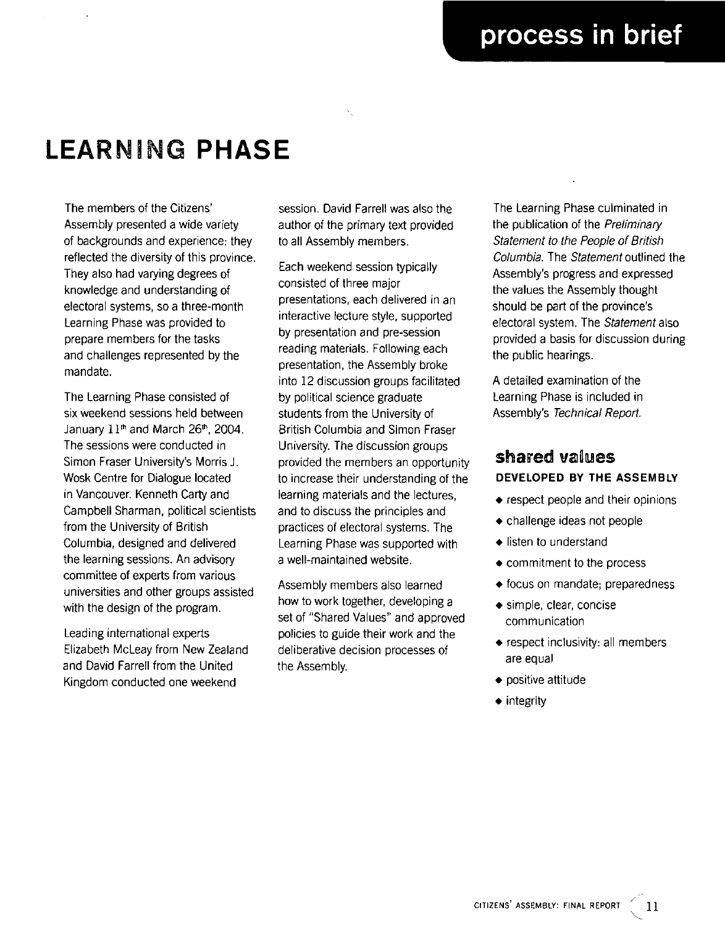## **LEARNING PHASE**

The members of the Citizens' Assembly presented a wide variety of backgrounds and experience: they reflected the diversity of this province. They also had varying degrees of knowledge and understanding of electoral systems, so a three-month Learning Phase was provided to prepare members for the tasks and challenges represented by the mandate.

The Learning Phase consisted of six weekend sessions held between January  $11<sup>th</sup>$  and March 26<sup>th</sup>, 2004. The sessions were conducted in Simon Fraser University's Morris J. Wosk Centre for Dialogue located in Vancouver. Kenneth Carty and Campbell Sharman, political scientists from the University of British Columbia, designed and delivered the learning sessions. An advisory committee of experts from various universities and other groups assisted with the design of the program.

Leading international experts Elizabeth McLeay from New Zealand and David Farrell from the United Kingdom conducted one weekend

session. David Farrell was also the author of the primary text provided to all Assembly members.

Each weekend session typically consisted of three major presentations, each delivered in an interactive lecture style, supported by presentation and pre-session reading materials. Following each presentation, the Assembly broke into 12 discussion groups facilitated by political science graduate students from the University of British Columbia and Simon Fraser University. The discussion groups provided the members an opportunity to increase their understanding of the learning materials and the lectures, and to discuss the principles and practices of electoral systems. The Learning Phase was supported with a well-maintained website.

Assembly members also learned how to work together, developing a set of "Shared Values" and approved policies to guide their work and the deliberative decision processes of the Assembly.

The Learning Phase culminated in the publication of the Preliminary Statement to the People of British Columbia. The Statement outlined the Assembly's progress and expressed the values the Assembly thought should be part of the province's electoral system. The Statement also provided a basis for discussion during the public hearings.

A detailed examination of the Learning Phase is included in Assembly's Technical Report.

## shared values **DEVELOPED BY THE ASSEMBLY**

- respect people and their opinions
- challenge ideas not people
- listen to understand
- commitment to the process
- focus on mandate; preparedness
- simple, clear, concise communication
- respect inclusivity: all members are equal
- positive attitude
- integrity

"-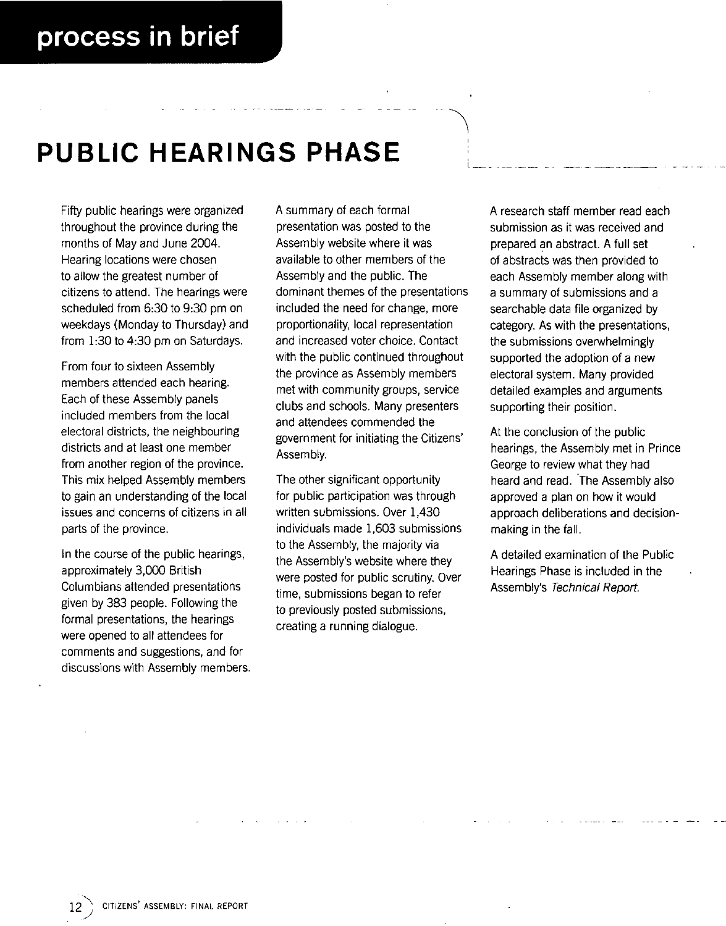## **PUBLIC HEARINGS PHASE**

Fifty public hearings were organized throughout the province during the months of May and June 2004. Hearing locations were chosen to allow the greatest number of citizens to attend. The hearings were scheduled from 6:30 to 9:30 pm on weekdays (Monday to Thursday) and from 1:30 to 4:30 pm on Saturdays.

From four to sixteen Assembly members attended each hearing. Each of these Assembly panels included members from the local electoral districts, the neighbouring districts and at least one member from another region of the province. This mix helped Assembly members to gain an understanding of the local issues and concerns of citizens in all parts of the province.

In the course of the public hearings, approximately 3,000 British Columbians attended presentations given by 383 people. Following the formal presentations, the hearings were opened to all attendees for comments and suggestions, and for discussions with Assembly members. A summary of each formal presentation was posted to the Assembly website where it was available to other members of the Assembly and the public. The dominant themes of the presentations included the need for change, more proportionality, local representation and increased voter choice. Contact with the public continued throughout the province as Assembly members met with community groups, service clubs and schools. Many presenters and attendees commended the government for initiating the Citizens' Assembly.

The other significant opportunity for public participation was through written submissions. Over 1,430 individuals made 1,603 submissions to the Assembly, the majority via the Assembly's website where they were posted for public scrutiny. Over time, submissions began to refer to previously posted submissions, creating a running dialogue.

A research staff member read each submission as it was received and prepared an abstract. A full set of abstracts was then provided to each Assembly member along with a summary of submissions and a searchable data file organized by category. As with the presentations, the submissions overwhelmingly supported the adoption of a new electoral system. Many provided detailed examples and arguments supporting their position.

At the conclusion of the public hearings, the Assembly met in Prince George to review what they had heard and read. 'The Assembly also approved a plan on how it would approach deliberations and decisionmaking in the fall.

A detailed examination of the Public Hearings Phase is included in the Assembly's Technical Report.

/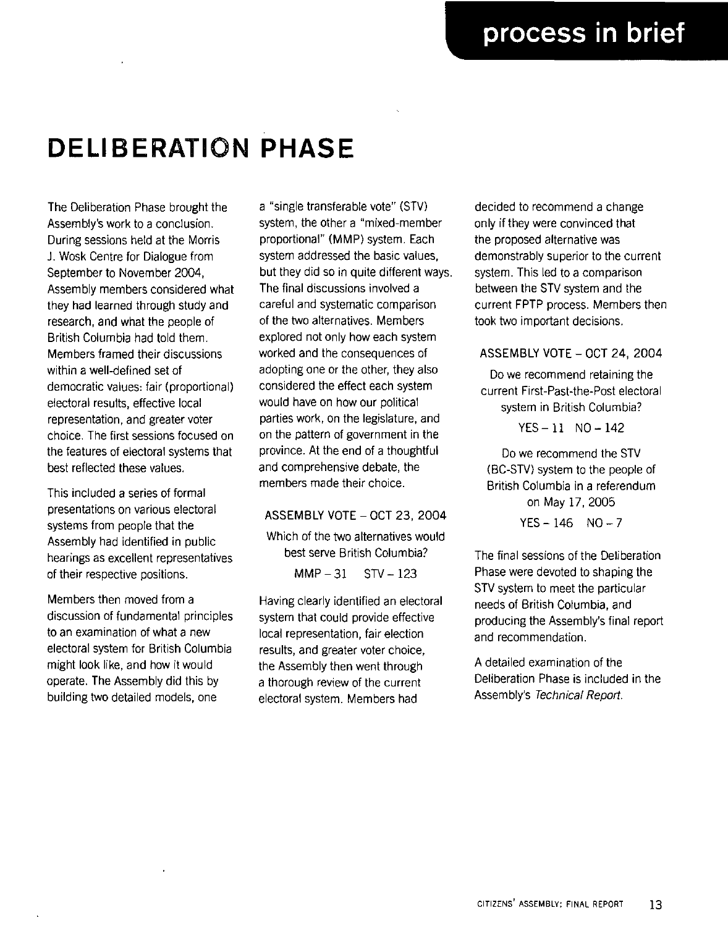I

# **DELIBERATION PHASE**

The Deliberation Phase brought the Assembly's work to a conclusion. During sessions held at the Morris J. Wosk Centre for Dialogue from September to November 2004, Assembly members considered what they had learned through study and research, and what the people of British Columbia had told them. Members framed their discussions within a well-defined set of democratic values: fair (proportional) electoral results, effective local representation, and greater voter choice. The first sessions focused on the features of electoral systems that best reflected these values.

This included a series of formal presentations on various electoral systems from people that the Assembly had identified in public hearings as excellent representatives of their respective positions.

Members then moved from a discussion of fundamental principles to an examination of what a new electoral system for British Columbia might look like, and how it would operate. The Assembly did this by building two detailed models, one

a "single transferable vote" (STV) system, the other a "mixed-member proportional" (MMP) system. Each system addressed the basic values, but they did so in quite different ways. The final discussions involved a careful and systematic comparison of the two alternatives. Members explored not only how each system worked and the consequences of adopting one or the other, they also considered the effect each system would have on how our political parties work, on the legislature, and on the pattern of government in the province. At the end of a thoughtful and comprehensive debate, the members made their choice.

#### ASSEMBLY VOTE - OCT 23, 2004

Which of the two alternatives would best serve British Columbia?  $MMP - 31$  STV - 123

Having clearly identified an electoral system that could provide effective local representation, fair election results, and greater voter choice, the Assembly then went through a thorough review of the current electoral system. Members had

decided to recommend a change only if they were convinced that the proposed alternative was demonstrably superior to the current system. This led to a comparison between the STV system and the current FPTP process. Members then took two important decisions.

#### ASSEMBLY VOTE - OCT 24, 2004

Do we recommend retaining the current First-Past-the-Post electoral system in British Columbia?

 $YES - 11$  NO  $- 142$ 

Do we recommend the STV (BC-STV) system to the people of British Columbia in a referendum on May 17, 2005

 $YES - 146$   $NO - 7$ 

The final sessions of the Deliberation Phase were devoted to shaping the STV system to meet the particular needs of British Columbia, and producing the Assembly's final report and recommendation.

A detailed examination of the Oeliberation Phase is included in the Assembly's Technical Report.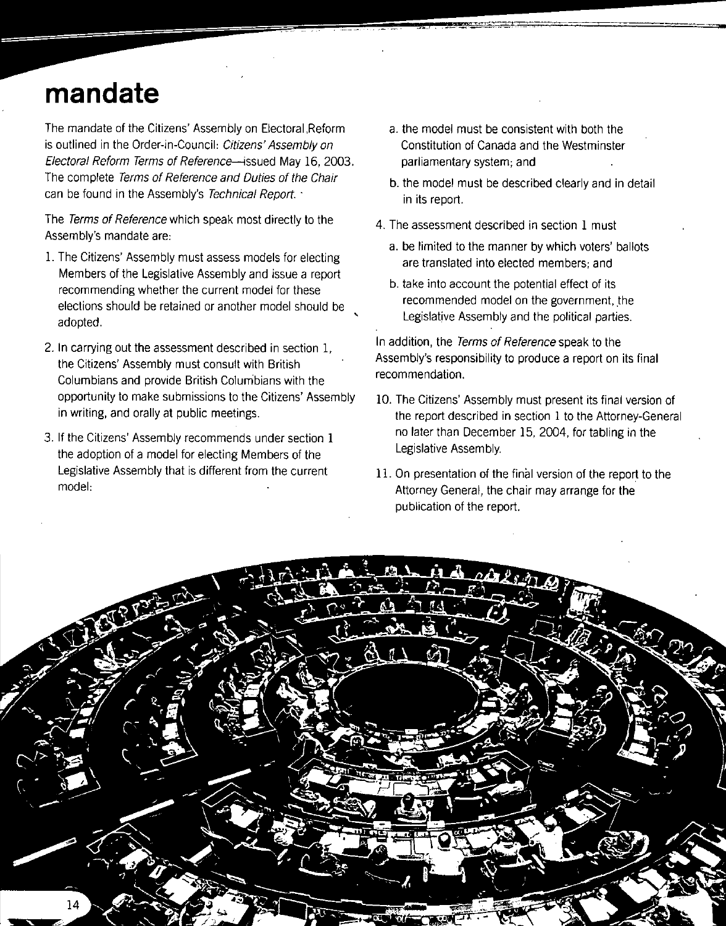## **mandate**

The mandate of the Citizens' Assembly on Electoral ,Reform is outlined in the Order-in-Council: Citizens' Assembly on Electoral Reform Terms of Reference-issued May 16, 2003. The complete Terms of Reference and Duties of the Chair can be found in the Assembly's Technical Report.

The Terms of Reference which speak most directly to the Assembly's mandate are:

- l. The Citizens' Assembly must assess models for electing Members of the Legislative Assembly and issue a report recommending whether the current model for these elections should be retained or another model should be adopted.
- 2. In carrying out the assessment described in section 1, the Citizens' Assembly must consult with British Columbians and provide British Colurnbians with the opportunity to make submissions to the Citizens' Assembly in writing, and orally at public meetings.
- 3. If the Citizens' Assembly recommends under section 1 the adoption of a model for electing Members of the Legislative Assembly that is different from the current model:
- a. the model must be consistent with both the Constitution of Canada and the Westminster parliamentary system; and
- b. the model must be described clearly and in detail in its report.
- 4. The assessment described in section 1 must
	- a. be limited to the manner by which voters' ballots are translated into elected members; and
	- b. take into account the potential effect of its recommended model on the government, the Legislative Assembly and the political parties.

In addition, the Terms of Reference speak to the Assembly's responsibility to produce a report on its final recommendation.

- 10. The Citizens' Assembly must present its final version of the report described in section 1 to the Attorney-General no later than December 15, 2004, for tabling in the Legislative Assembly.
- 1l. On presentation of the final version of the report to the Attorney General, the chair may arrange for the publication of the report.



 $\mathbf{r}$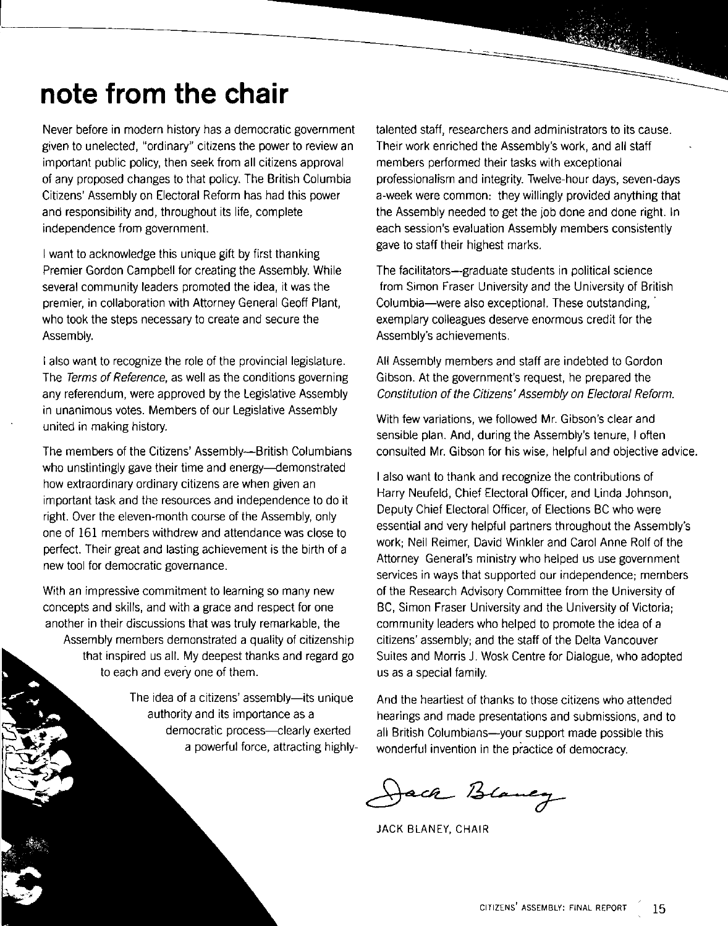## **note from the chair**

Never before in modern history has a democratic government given to unelected, "ordinary" citizens the power to review an important public policy, then seek from all citizens approval of any proposed changes to that policy. The British Columbia Citizens' Assembly on Electoral Reform has had this power and responsibility and, throughout its life, complete independence from government.

I want to acknowledge this unique gift by first thanking Premier Gordon Campbell for creating the Assembly. While several community leaders promoted the idea, it was the premier, in collaboration with Attorney General Geoff Plant, who took the steps necessary to create and secure the Assembly.

I also want to recognize the role of the provincial legislature. The Terms of Reference, as well as the conditions governing any referendum, were approved by the Legislative Assembly in unanimous votes. Members of our Legislative Assembly united in making history.

The members of the Citizens' Assembly—British Columbians who unstintingly gave their time and energy---demonstrated how extraordinary ordinary citizens are when given an important task and the resources and independence to do it right. Over the eleven-month course of the Assembly, only one of 161 members withdrew and attendance was close to perfect. Their great and lasting achievement is the birth of a new tool for democratic governance.

With an impressive commitment to learning so many new concepts and skills, and with a grace and respect for one another in their discussions that was truly remarkable, the Assembly members demonstrated a quality of citizenship that inspired us all. My deepest thanks and regard go to each and every one of them.

> The idea of a citizens' assembly--its unique authority and its importance as a democratic process-clearly exerted a powerful force, attracting highly

talented staff, researchers and administrators to its cause. Their work enriched the Assembly's work, and all staff members performed their tasks with exceptional professionalism and integrity. Twelve-hour days, seven-days a-week were common: they willingly provided anything that the Assembly needed to get the job done and done right. In each session's evaluation Assembly members consistently gave to staff their highest marks.

The facilitators--graduate students in political science from Simon Fraser University and the University of British Columbia-were also exceptional. These outstanding, exemplary colleagues deserve enormous credit for the Assembly's achievements.

All Assembly members and staff are indebted to Gordon Gibson. At the government's request, he prepared the Constitution of the Citizens' Assembly on Electoral Reform.

With few variations, we followed Mr. Gibson's clear and sensible plan. And, during the Assembly's tenure, I often consulted Mr. Gibson for his wise, helpful and objective advice.

I also want to thank and recognize the contributions of Harry Neufeld, Chief Electoral Officer, and Linda Johnson, Deputy Chief Electoral Officer, of Elections BC who were essential and very helpful partners throughout the Assembly's work; Neil Reimer, David Winkler and Carol Anne Rolf of the Attorney General's ministry who helped us use government services in ways that supported our independence; members of the Research Advisory Committee from the University of BC, Simon Fraser University and the University of Victoria; community leaders who helped to promote the idea of a citizens' assembly; and the staff of the Delta Vancouver Suites and Morris J. Wosk Centre for Dialogue, who adopted us as a special family.

And the heartiest of thanks to those citizens who attended hearings and made presentations and submissions, and to all British Columbians-your support made possible this wonderful invention in the practice of democracy.

Jack Blancy

JACK BLANEY, CHAIR